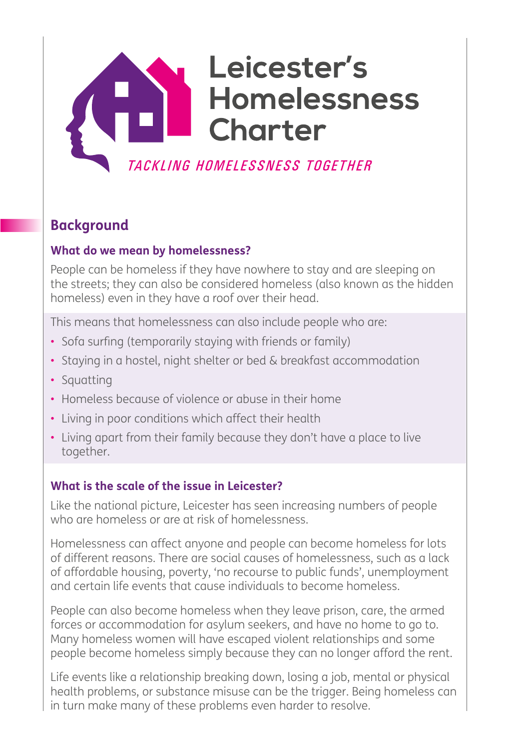# Leicester's **Homelessness Charter** TACKLING HOMELESSNESS TOGETHER

# **Background**

#### **What do we mean by homelessness?**

People can be homeless if they have nowhere to stay and are sleeping on the streets; they can also be considered homeless (also known as the hidden homeless) even in they have a roof over their head.

This means that homelessness can also include people who are:

- Sofa surfing (temporarily staying with friends or family)
- Staying in a hostel, night shelter or bed & breakfast accommodation
- Squatting
- Homeless because of violence or abuse in their home
- Living in poor conditions which affect their health
- Living apart from their family because they don't have a place to live together.

#### **What is the scale of the issue in Leicester?**

Like the national picture, Leicester has seen increasing numbers of people who are homeless or are at risk of homelessness.

Homelessness can affect anyone and people can become homeless for lots of different reasons. There are social causes of homelessness, such as a lack of affordable housing, poverty, 'no recourse to public funds', unemployment and certain life events that cause individuals to become homeless.

People can also become homeless when they leave prison, care, the armed forces or accommodation for asylum seekers, and have no home to go to. Many homeless women will have escaped violent relationships and some people become homeless simply because they can no longer afford the rent.

Life events like a relationship breaking down, losing a job, mental or physical health problems, or substance misuse can be the trigger. Being homeless can in turn make many of these problems even harder to resolve.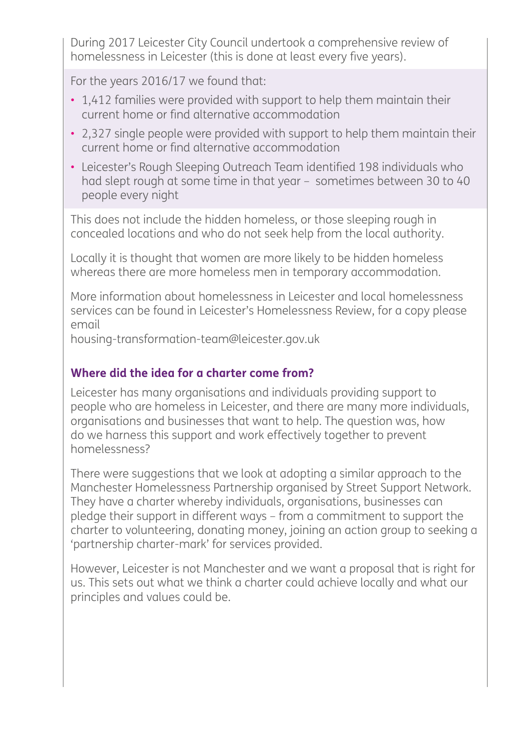During 2017 Leicester City Council undertook a comprehensive review of homelessness in Leicester (this is done at least every five years).

For the years 2016/17 we found that:

- 1,412 families were provided with support to help them maintain their current home or find alternative accommodation
- 2,327 single people were provided with support to help them maintain their current home or find alternative accommodation
- Leicester's Rough Sleeping Outreach Team identified 198 individuals who had slept rough at some time in that year – sometimes between 30 to 40 people every night

This does not include the hidden homeless, or those sleeping rough in concealed locations and who do not seek help from the local authority.

Locally it is thought that women are more likely to be hidden homeless whereas there are more homeless men in temporary accommodation.

More information about homelessness in Leicester and local homelessness services can be found in Leicester's Homelessness Review, for a copy please email

housing-transformation-team@leicester.gov.uk

### **Where did the idea for a charter come from?**

Leicester has many organisations and individuals providing support to people who are homeless in Leicester, and there are many more individuals, organisations and businesses that want to help. The question was, how do we harness this support and work effectively together to prevent homelessness?

There were suggestions that we look at adopting a similar approach to the Manchester Homelessness Partnership organised by Street Support Network. They have a charter whereby individuals, organisations, businesses can pledge their support in different ways – from a commitment to support the charter to volunteering, donating money, joining an action group to seeking a 'partnership charter-mark' for services provided.

However, Leicester is not Manchester and we want a proposal that is right for us. This sets out what we think a charter could achieve locally and what our principles and values could be.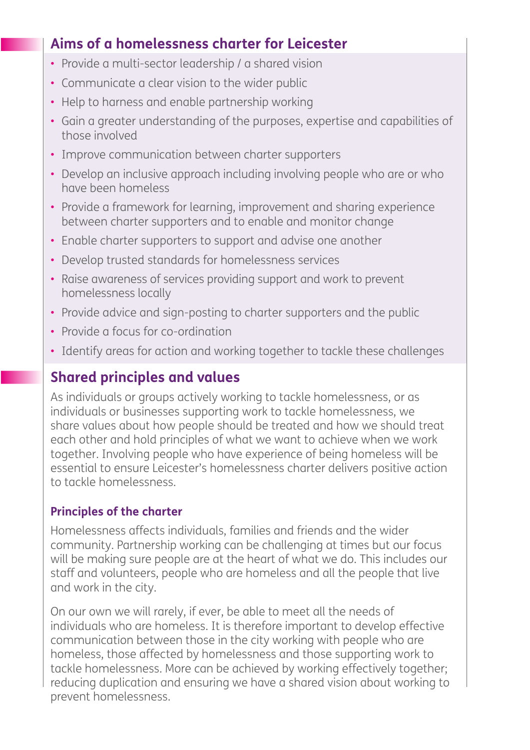# **Aims of a homelessness charter for Leicester**

- Provide a multi-sector leadership / a shared vision
- Communicate a clear vision to the wider public
- Help to harness and enable partnership working
- Gain a greater understanding of the purposes, expertise and capabilities of those involved
- Improve communication between charter supporters
- Develop an inclusive approach including involving people who are or who have been homeless
- Provide a framework for learning, improvement and sharing experience between charter supporters and to enable and monitor change
- Enable charter supporters to support and advise one another
- Develop trusted standards for homelessness services
- Raise awareness of services providing support and work to prevent homelessness locally
- Provide advice and sign-posting to charter supporters and the public
- Provide a focus for co-ordination
- Identify areas for action and working together to tackle these challenges

# **Shared principles and values**

As individuals or groups actively working to tackle homelessness, or as individuals or businesses supporting work to tackle homelessness, we share values about how people should be treated and how we should treat each other and hold principles of what we want to achieve when we work together. Involving people who have experience of being homeless will be essential to ensure Leicester's homelessness charter delivers positive action to tackle homelessness.

# **Principles of the charter**

Homelessness affects individuals, families and friends and the wider community. Partnership working can be challenging at times but our focus will be making sure people are at the heart of what we do. This includes our staff and volunteers, people who are homeless and all the people that live and work in the city.

On our own we will rarely, if ever, be able to meet all the needs of individuals who are homeless. It is therefore important to develop effective communication between those in the city working with people who are homeless, those affected by homelessness and those supporting work to tackle homelessness. More can be achieved by working effectively together; reducing duplication and ensuring we have a shared vision about working to prevent homelessness.